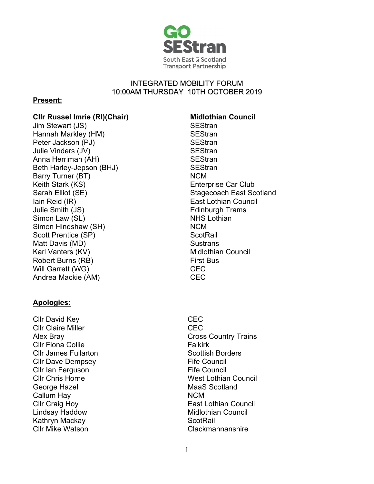

## INTEGRATED MOBILITY FORUM 10:00AM THURSDAY 10TH OCTOBER 2019

# **Present:**

## **Cllr Russel Imrie (RI)(Chair) Midlothian Council**

Jim Stewart (JS) SEStran Hannah Markley (HM) SEStran Peter Jackson (PJ) SEStran Julie Vinders (JV) SEStran Anna Herriman (AH) SEStran Beth Harley-Jepson (BHJ) Barry Turner (BT) Keith Stark (KS) Sarah Elliot (SE) Stagecoach East Scotland Iain Reid (IR) Julie Smith (JS) Simon Law (SL) Simon Hindshaw (SH) Scott Prentice (SP) Matt Davis (MD) Karl Vanters (KV) Robert Burns (RB) Will Garrett (WG) Andrea Mackie (AM)

## **Apologies:**

Cllr David Key **CEC** Cllr Claire Miller CEC Cllr Fiona Collie **Falkirk Cllr James Fullarton** Scottish Borders Cllr Dave Dempsey **Elle Council** Fife Council Cllr Ian Ferguson **Fife Council** George Hazel MaaS Scotland Callum Hay NCM Cllr Craig Hoy Lindsay Haddow Kathryn Mackay ScotRail

- **SEStran** NCM Enterprise Car Club East Lothian Council Edinburgh Trams NHS Lothian NCM **ScotRail Sustrans** Midlothian Council First Bus **CEC CEC**
- Alex Bray Cross Country Trains **Cllr Chris Horne West Lothian Council** East Lothian Council Midlothian Council Clackmannanshire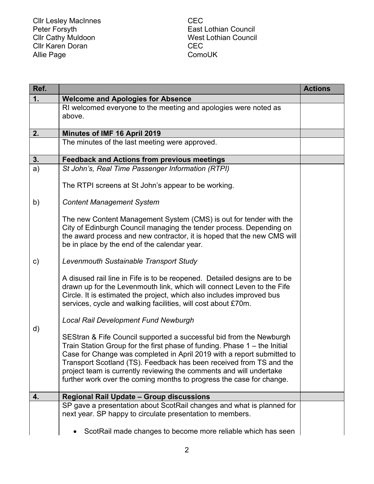Cllr Lesley MacInnes **CEC** Peter Forsyth East Lothian Council Cllr Cathy Muldoon Cllr Karen Doran Allie Page

West Lothian Council CEC ComoUK

| Ref.          |                                                                                                                                                       | <b>Actions</b> |
|---------------|-------------------------------------------------------------------------------------------------------------------------------------------------------|----------------|
| 1.            | <b>Welcome and Apologies for Absence</b>                                                                                                              |                |
|               | RI welcomed everyone to the meeting and apologies were noted as                                                                                       |                |
|               | above.                                                                                                                                                |                |
| 2.            | <b>Minutes of IMF 16 April 2019</b>                                                                                                                   |                |
|               | The minutes of the last meeting were approved.                                                                                                        |                |
|               |                                                                                                                                                       |                |
| 3.            | <b>Feedback and Actions from previous meetings</b>                                                                                                    |                |
| a)            | St John's, Real Time Passenger Information (RTPI)                                                                                                     |                |
|               | The RTPI screens at St John's appear to be working.                                                                                                   |                |
|               |                                                                                                                                                       |                |
| b)            | <b>Content Management System</b>                                                                                                                      |                |
|               | The new Content Management System (CMS) is out for tender with the                                                                                    |                |
|               | City of Edinburgh Council managing the tender process. Depending on                                                                                   |                |
|               | the award process and new contractor, it is hoped that the new CMS will                                                                               |                |
|               | be in place by the end of the calendar year.                                                                                                          |                |
| $\mathsf{c})$ | Levenmouth Sustainable Transport Study                                                                                                                |                |
|               |                                                                                                                                                       |                |
|               | A disused rail line in Fife is to be reopened. Detailed designs are to be                                                                             |                |
|               | drawn up for the Levenmouth link, which will connect Leven to the Fife                                                                                |                |
|               | Circle. It is estimated the project, which also includes improved bus                                                                                 |                |
|               | services, cycle and walking facilities, will cost about £70m.                                                                                         |                |
|               | <b>Local Rail Development Fund Newburgh</b>                                                                                                           |                |
| d)            |                                                                                                                                                       |                |
|               | SEStran & Fife Council supported a successful bid from the Newburgh                                                                                   |                |
|               | Train Station Group for the first phase of funding. Phase $1 -$ the Initial<br>Case for Change was completed in April 2019 with a report submitted to |                |
|               | Transport Scotland (TS). Feedback has been received from TS and the                                                                                   |                |
|               | project team is currently reviewing the comments and will undertake                                                                                   |                |
|               | further work over the coming months to progress the case for change.                                                                                  |                |
| 4.            | Regional Rail Update - Group discussions                                                                                                              |                |
|               | SP gave a presentation about ScotRail changes and what is planned for                                                                                 |                |
|               | next year. SP happy to circulate presentation to members.                                                                                             |                |
|               |                                                                                                                                                       |                |
|               | ScotRail made changes to become more reliable which has seen                                                                                          |                |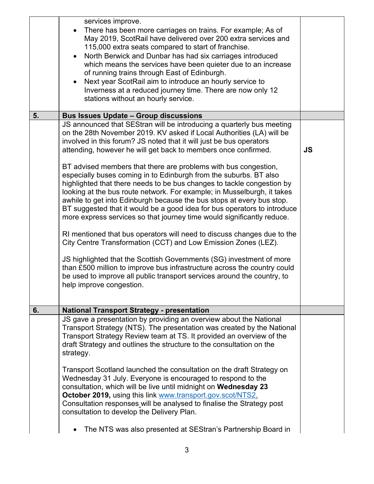|    | services improve.<br>There has been more carriages on trains. For example; As of<br>May 2019, ScotRail have delivered over 200 extra services and<br>115,000 extra seats compared to start of franchise.<br>North Berwick and Dunbar has had six carriages introduced<br>$\bullet$<br>which means the services have been quieter due to an increase<br>of running trains through East of Edinburgh.<br>Next year ScotRail aim to introduce an hourly service to<br>$\bullet$<br>Inverness at a reduced journey time. There are now only 12<br>stations without an hourly service.                                                                                                                                                                                                                                                                                                                                                                                                                                                                                                                                                                                                                                           |           |
|----|-----------------------------------------------------------------------------------------------------------------------------------------------------------------------------------------------------------------------------------------------------------------------------------------------------------------------------------------------------------------------------------------------------------------------------------------------------------------------------------------------------------------------------------------------------------------------------------------------------------------------------------------------------------------------------------------------------------------------------------------------------------------------------------------------------------------------------------------------------------------------------------------------------------------------------------------------------------------------------------------------------------------------------------------------------------------------------------------------------------------------------------------------------------------------------------------------------------------------------|-----------|
| 5. | <b>Bus Issues Update - Group discussions</b>                                                                                                                                                                                                                                                                                                                                                                                                                                                                                                                                                                                                                                                                                                                                                                                                                                                                                                                                                                                                                                                                                                                                                                                |           |
|    | JS announced that SEStran will be introducing a quarterly bus meeting<br>on the 28th November 2019. KV asked if Local Authorities (LA) will be<br>involved in this forum? JS noted that it will just be bus operators<br>attending, however he will get back to members once confirmed.<br>BT advised members that there are problems with bus congestion,<br>especially buses coming in to Edinburgh from the suburbs. BT also<br>highlighted that there needs to be bus changes to tackle congestion by<br>looking at the bus route network. For example; in Musselburgh, it takes<br>awhile to get into Edinburgh because the bus stops at every bus stop.<br>BT suggested that it would be a good idea for bus operators to introduce<br>more express services so that journey time would significantly reduce.<br>RI mentioned that bus operators will need to discuss changes due to the<br>City Centre Transformation (CCT) and Low Emission Zones (LEZ).<br>JS highlighted that the Scottish Governments (SG) investment of more<br>than £500 million to improve bus infrastructure across the country could<br>be used to improve all public transport services around the country, to<br>help improve congestion. | <b>JS</b> |
|    |                                                                                                                                                                                                                                                                                                                                                                                                                                                                                                                                                                                                                                                                                                                                                                                                                                                                                                                                                                                                                                                                                                                                                                                                                             |           |
| 6. | <b>National Transport Strategy - presentation</b><br>JS gave a presentation by providing an overview about the National                                                                                                                                                                                                                                                                                                                                                                                                                                                                                                                                                                                                                                                                                                                                                                                                                                                                                                                                                                                                                                                                                                     |           |
|    | Transport Strategy (NTS). The presentation was created by the National<br>Transport Strategy Review team at TS. It provided an overview of the<br>draft Strategy and outlines the structure to the consultation on the<br>strategy.<br>Transport Scotland launched the consultation on the draft Strategy on<br>Wednesday 31 July. Everyone is encouraged to respond to the<br>consultation, which will be live until midnight on Wednesday 23<br>October 2019, using this link www.transport.gov.scot/NTS2.<br>Consultation responses will be analysed to finalise the Strategy post<br>consultation to develop the Delivery Plan.                                                                                                                                                                                                                                                                                                                                                                                                                                                                                                                                                                                         |           |
|    | The NTS was also presented at SEStran's Partnership Board in                                                                                                                                                                                                                                                                                                                                                                                                                                                                                                                                                                                                                                                                                                                                                                                                                                                                                                                                                                                                                                                                                                                                                                |           |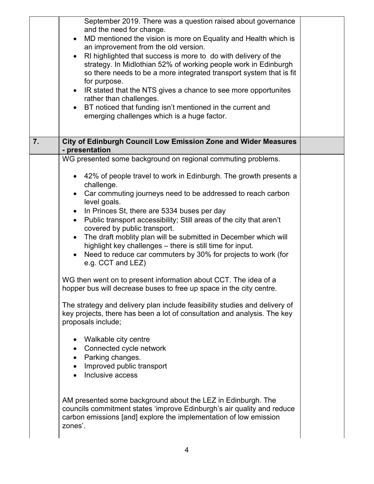|    | September 2019. There was a question raised about governance<br>and the need for change.<br>MD mentioned the vision is more on Equality and Health which is<br>$\bullet$<br>an improvement from the old version.<br>RI highlighted that success is more to do with delivery of the<br>$\bullet$<br>strategy. In Midlothian 52% of working people work in Edinburgh<br>so there needs to be a more integrated transport system that is fit<br>for purpose.<br>• IR stated that the NTS gives a chance to see more opportunites<br>rather than challenges.<br>BT noticed that funding isn't mentioned in the current and<br>$\bullet$<br>emerging challenges which is a huge factor.                                                                                                                                                                                                                                                     |  |
|----|----------------------------------------------------------------------------------------------------------------------------------------------------------------------------------------------------------------------------------------------------------------------------------------------------------------------------------------------------------------------------------------------------------------------------------------------------------------------------------------------------------------------------------------------------------------------------------------------------------------------------------------------------------------------------------------------------------------------------------------------------------------------------------------------------------------------------------------------------------------------------------------------------------------------------------------|--|
| 7. | City of Edinburgh Council Low Emission Zone and Wider Measures<br>- presentation                                                                                                                                                                                                                                                                                                                                                                                                                                                                                                                                                                                                                                                                                                                                                                                                                                                       |  |
|    | WG presented some background on regional commuting problems.                                                                                                                                                                                                                                                                                                                                                                                                                                                                                                                                                                                                                                                                                                                                                                                                                                                                           |  |
|    | • 42% of people travel to work in Edinburgh. The growth presents a<br>challenge.<br>Car commuting journeys need to be addressed to reach carbon<br>$\bullet$<br>level goals.<br>In Princes St, there are 5334 buses per day<br>$\bullet$<br>Public transport accessibility; Still areas of the city that aren't<br>$\bullet$<br>covered by public transport.<br>The draft moblity plan will be submitted in December which will<br>$\bullet$<br>highlight key challenges – there is still time for input.<br>Need to reduce car commuters by 30% for projects to work (for<br>$\bullet$<br>e.g. CCT and LEZ)<br>WG then went on to present information about CCT. The idea of a<br>hopper bus will decrease buses to free up space in the city centre.<br>The strategy and delivery plan include feasibility studies and delivery of<br>key projects, there has been a lot of consultation and analysis. The key<br>proposals include; |  |
|    | Walkable city centre<br>$\bullet$<br>Connected cycle network<br>$\bullet$<br>• Parking changes.<br>Improved public transport<br>Inclusive access<br>AM presented some background about the LEZ in Edinburgh. The<br>councils commitment states 'improve Edinburgh's air quality and reduce<br>carbon emissions [and] explore the implementation of low emission<br>zones'.                                                                                                                                                                                                                                                                                                                                                                                                                                                                                                                                                             |  |